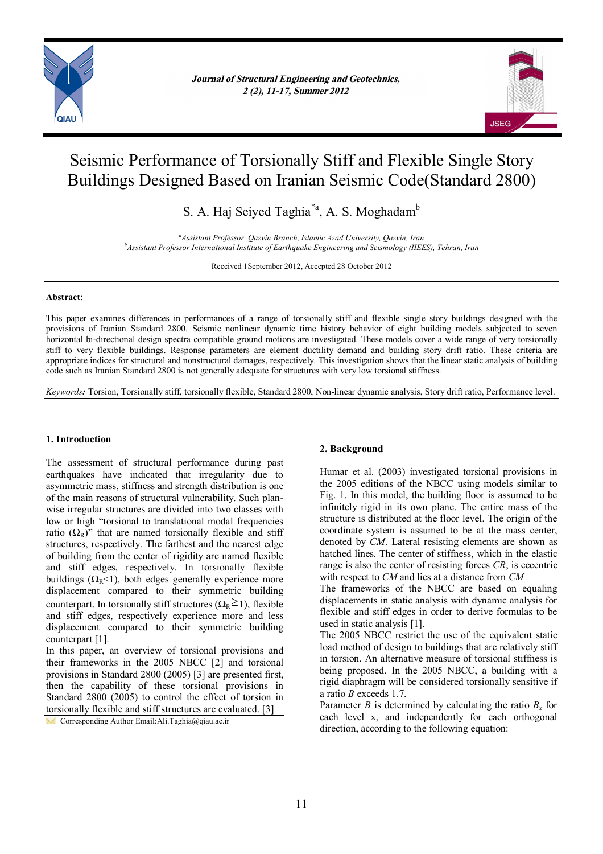

*Journal of Structural Engineering and Geotechnics, Journal of Structural Engineering and Geotechnics, 1 (1), 1-5, Spring 2011 2 (2), 11-17, Summer 2012*



# Seismic Performance of Torsionally Stiff and Flexible Single Story Buildings Designed Based on Iranian Seismic Code(Standard 2800)

S. A. Haj Seiyed Taghia<sup>\*a</sup>, A. S. Moghadam<sup>b</sup>

*<sup>a</sup>Assistant Professor, Qazvin Branch, Islamic Azad University, Qazvin, Iran <sup>b</sup>Assistant Professor International Institute of Earthquake Engineering and Seismology (IIEES), Tehran, Iran*

Received 1September 2012, Accepted 28 October 2012

# **Abstract**:

This paper examines differences in performances of a range of torsionally stiff and flexible single story buildings designed with the provisions of Iranian Standard 2800. Seismic nonlinear dynamic time history behavior of eight building models subjected to seven horizontal bi-directional design spectra compatible ground motions are investigated. These models cover a wide range of very torsionally stiff to very flexible buildings. Response parameters are element ductility demand and building story drift ratio. These criteria are appropriate indices for structural and nonstructural damages, respectively. This investigation shows that the linear static analysis of building code such as Iranian Standard 2800 is not generally adequate for structures with very low torsional stiffness.

*Keywords:* Torsion, Torsionally stiff, torsionally flexible, Standard 2800, Non-linear dynamic analysis, Story drift ratio, Performance level.

# **1. Introduction**

The assessment of structural performance during past earthquakes have indicated that irregularity due to asymmetric mass, stiffness and strength distribution is one of the main reasons of structural vulnerability. Such planwise irregular structures are divided into two classes with low or high "torsional to translational modal frequencies ratio  $(\Omega_R)$ " that are named torsionally flexible and stiff structures, respectively. The farthest and the nearest edge of building from the center of rigidity are named flexible and stiff edges, respectively. In torsionally flexible buildings  $(\Omega_R < 1)$ , both edges generally experience more displacement compared to their symmetric building counterpart. In torsionally stiff structures ( $\Omega_R \geq 1$ ), flexible and stiff edges, respectively experience more and less displacement compared to their symmetric building counterpart [1].

In this paper, an overview of torsional provisions and their frameworks in the 2005 NBCC [2] and torsional provisions in Standard 2800 (2005) [3] are presented first, then the capability of these torsional provisions in Standard 2800 (2005) to control the effect of torsion in torsionally flexible and stiff structures are evaluated. [3]

Corresponding Author Email: Ali.Taghia@qiau.ac.ir

# **2. Background**

Humar et al. (2003) investigated torsional provisions in the 2005 editions of the NBCC using models similar to Fig. 1. In this model, the building floor is assumed to be infinitely rigid in its own plane. The entire mass of the structure is distributed at the floor level. The origin of the coordinate system is assumed to be at the mass center, denoted by *CM*. Lateral resisting elements are shown as hatched lines. The center of stiffness, which in the elastic range is also the center of resisting forces *CR*, is eccentric with respect to *CM* and lies at a distance from *CM*

The frameworks of the NBCC are based on equaling displacements in static analysis with dynamic analysis for flexible and stiff edges in order to derive formulas to be used in static analysis [1].

The 2005 NBCC restrict the use of the equivalent static load method of design to buildings that are relatively stiff in torsion. An alternative measure of torsional stiffness is being proposed. In the 2005 NBCC, a building with a rigid diaphragm will be considered torsionally sensitive if a ratio *B* exceeds 1.7.

Parameter *B* is determined by calculating the ratio  $B<sub>x</sub>$  for each level x, and independently for each orthogonal direction, according to the following equation: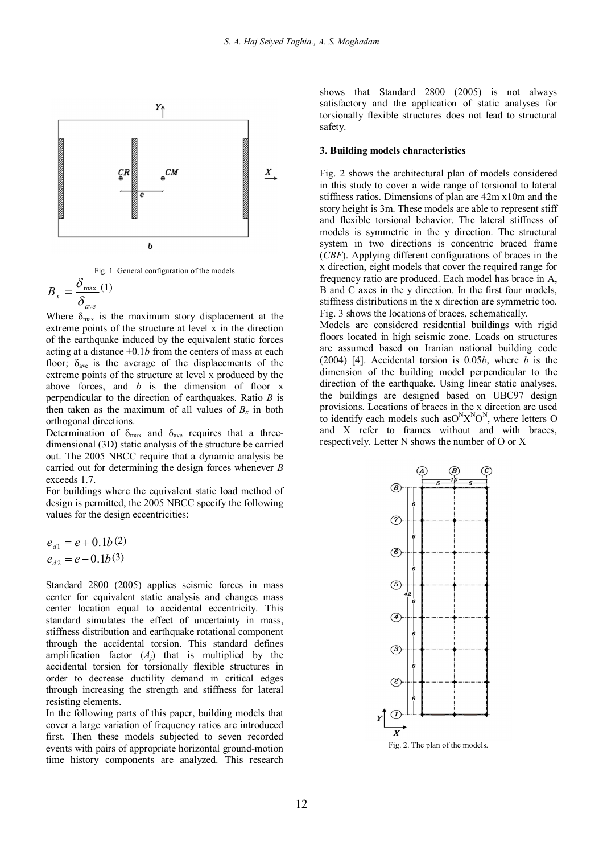



$$
B_{x} = \frac{\delta_{\text{max}}}{\delta_{\text{ave}}} (1)
$$

Where  $\delta_{\text{max}}$  is the maximum story displacement at the extreme points of the structure at level x in the direction of the earthquake induced by the equivalent static forces acting at a distance  $\pm 0.1b$  from the centers of mass at each floor;  $\delta_{\text{ave}}$  is the average of the displacements of the extreme points of the structure at level x produced by the above forces, and *b* is the dimension of floor x perpendicular to the direction of earthquakes. Ratio *B* is then taken as the maximum of all values of  $B_x$  in both orthogonal directions.

Determination of  $\delta_{\text{max}}$  and  $\delta_{\text{ave}}$  requires that a threedimensional (3D) static analysis of the structure be carried out. The 2005 NBCC require that a dynamic analysis be carried out for determining the design forces whenever *B* exceeds 1.7.

For buildings where the equivalent static load method of design is permitted, the 2005 NBCC specify the following values for the design eccentricities:

$$
e_{d1} = e + 0.1b(2)
$$
  

$$
e_{d2} = e - 0.1b(3)
$$

Standard 2800 (2005) applies seismic forces in mass center for equivalent static analysis and changes mass center location equal to accidental eccentricity. This standard simulates the effect of uncertainty in mass, stiffness distribution and earthquake rotational component through the accidental torsion. This standard defines amplification factor  $(A_j)$  that is multiplied by the accidental torsion for torsionally flexible structures in order to decrease ductility demand in critical edges through increasing the strength and stiffness for lateral resisting elements.

In the following parts of this paper, building models that cover a large variation of frequency ratios are introduced first. Then these models subjected to seven recorded events with pairs of appropriate horizontal ground-motion time history components are analyzed. This research

shows that Standard 2800 (2005) is not always satisfactory and the application of static analyses for torsionally flexible structures does not lead to structural safety.

#### **3. Building models characteristics**

Fig. 2 shows the architectural plan of models considered in this study to cover a wide range of torsional to lateral stiffness ratios. Dimensions of plan are 42m x10m and the story height is 3m. These models are able to represent stiff and flexible torsional behavior. The lateral stiffness of models is symmetric in the y direction. The structural system in two directions is concentric braced frame (*CBF*). Applying different configurations of braces in the x direction, eight models that cover the required range for frequency ratio are produced. Each model has brace in A, B and C axes in the y direction. In the first four models, stiffness distributions in the x direction are symmetric too. Fig. 3 shows the locations of braces, schematically.

Models are considered residential buildings with rigid floors located in high seismic zone. Loads on structures are assumed based on Iranian national building code (2004) [4]. Accidental torsion is 0.05*b*, where *b* is the dimension of the building model perpendicular to the direction of the earthquake. Using linear static analyses, the buildings are designed based on UBC97 design provisions. Locations of braces in the x direction are used to identify each models such as  $O^N X^N O^N$ , where letters O and X refer to frames without and with braces, respectively. Letter N shows the number of O or X

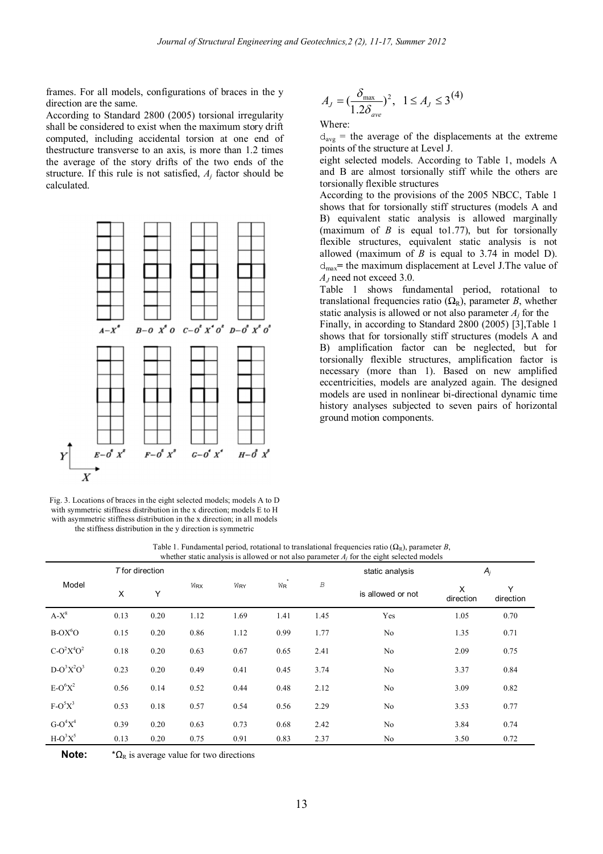frames. For all models, configurations of braces in the y direction are the same.

According to Standard 2800 (2005) torsional irregularity shall be considered to exist when the maximum story drift computed, including accidental torsion at one end of thestructure transverse to an axis, is more than 1.2 times the average of the story drifts of the two ends of the structure. If this rule is not satisfied, *A<sup>j</sup>* factor should be calculated.



Fig. 3. Locations of braces in the eight selected models; models A to D with symmetric stiffness distribution in the x direction; models E to H with asymmetric stiffness distribution in the x direction; in all models the stiffness distribution in the y direction is symmetric

$$
A_{J} = \left(\frac{\delta_{\max}}{1.2\delta_{ave}}\right)^{2}, \ \ 1 \leq A_{J} \leq 3^{(4)}
$$

Where:

 $d_{avg}$  = the average of the displacements at the extreme points of the structure at Level J.

eight selected models. According to Table 1, models A and B are almost torsionally stiff while the others are torsionally flexible structures

According to the provisions of the 2005 NBCC, Table 1 shows that for torsionally stiff structures (models A and B) equivalent static analysis is allowed marginally (maximum of *B* is equal to1.77), but for torsionally flexible structures, equivalent static analysis is not allowed (maximum of *B* is equal to 3.74 in model D). dmax**=** the maximum displacement at Level J.The value of *A<sup>J</sup>* need not exceed 3.0.

Table 1 shows fundamental period, rotational to translational frequencies ratio  $(\Omega_R)$ , parameter *B*, whether static analysis is allowed or not also parameter  $A_i$  for the

Finally, in according to Standard 2800 (2005) [3],Table 1 shows that for torsionally stiff structures (models A and B) amplification factor can be neglected, but for torsionally flexible structures, amplification factor is necessary (more than 1). Based on new amplified eccentricities, models are analyzed again. The designed models are used in nonlinear bi-directional dynamic time history analyses subjected to seven pairs of horizontal ground motion components.

Table 1. Fundamental period, rotational to translational frequencies ratio  $(\Omega_{\rm b})$ , parameter *B*, whether static analysis is allowed or not also parameter *A<sup>j</sup>* for the eight selected models

|               | T for direction |      |            |      |       |                  | whener static analysis is allowed of not also parameter 21 for the eight screeted models<br>static analysis |                | $A_j$          |  |
|---------------|-----------------|------|------------|------|-------|------------------|-------------------------------------------------------------------------------------------------------------|----------------|----------------|--|
| Model         | X               | Y    | <b>WRX</b> | WRY  | $W_R$ | $\boldsymbol{B}$ | is allowed or not                                                                                           | X<br>direction | Y<br>direction |  |
| $A-X^8$       | 0.13            | 0.20 | 1.12       | 1.69 | 1.41  | 1.45             | Yes                                                                                                         | 1.05           | 0.70           |  |
| $B-OX6O$      | 0.15            | 0.20 | 0.86       | 1.12 | 0.99  | 1.77             | No                                                                                                          | 1.35           | 0.71           |  |
| $C-O^2X^4O^2$ | 0.18            | 0.20 | 0.63       | 0.67 | 0.65  | 2.41             | No                                                                                                          | 2.09           | 0.75           |  |
| $D-O^3X^2O^3$ | 0.23            | 0.20 | 0.49       | 0.41 | 0.45  | 3.74             | No                                                                                                          | 3.37           | 0.84           |  |
| $E-O^6X^2$    | 0.56            | 0.14 | 0.52       | 0.44 | 0.48  | 2.12             | No                                                                                                          | 3.09           | 0.82           |  |
| $F-O5X3$      | 0.53            | 0.18 | 0.57       | 0.54 | 0.56  | 2.29             | No                                                                                                          | 3.53           | 0.77           |  |
| $G-O^4X^4$    | 0.39            | 0.20 | 0.63       | 0.73 | 0.68  | 2.42             | No                                                                                                          | 3.84           | 0.74           |  |
| $H-O3X5$      | 0.13            | 0.20 | 0.75       | 0.91 | 0.83  | 2.37             | No                                                                                                          | 3.50           | 0.72           |  |

**Note:**  ${}^{\star} \Omega_{R}$  is average value for two directions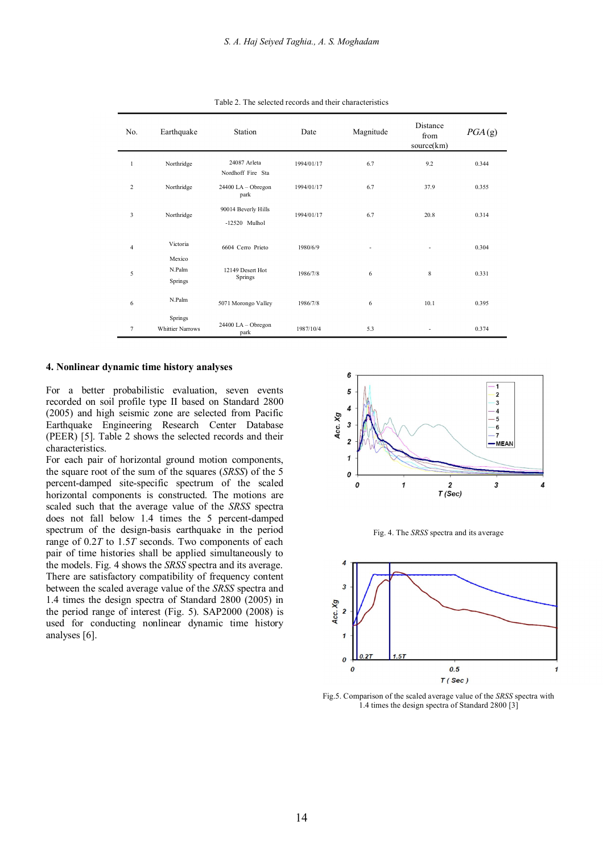| No.            | Earthquake                         | Station                                | Date       | Magnitude | Distance<br>from<br>source(km) | PGA(g) |
|----------------|------------------------------------|----------------------------------------|------------|-----------|--------------------------------|--------|
| $\mathbf{1}$   | Northridge                         | 24087 Arleta<br>Nordhoff Fire Sta      | 1994/01/17 | 6.7       | 9.2                            | 0.344  |
| $\overline{c}$ | Northridge                         | $24400$ LA - Obregon<br>park           | 1994/01/17 | 6.7       | 37.9                           | 0.355  |
| 3              | Northridge                         | 90014 Beverly Hills<br>$-12520$ Mulhol | 1994/01/17 | 6.7       | 20.8                           | 0.314  |
| $\overline{4}$ | Victoria                           | 6604 Cerro Prieto                      | 1980/6/9   |           | $\overline{\phantom{a}}$       | 0.304  |
| 5              | Mexico<br>N.Palm<br>Springs        | 12149 Desert Hot<br>Springs            | 1986/7/8   | 6         | 8                              | 0.331  |
| 6              | N.Palm                             | 5071 Morongo Valley                    | 1986/7/8   | 6         | 10.1                           | 0.395  |
| $\overline{7}$ | Springs<br><b>Whittier Narrows</b> | $24400$ LA - Obregon<br>park           | 1987/10/4  | 5.3       |                                | 0.374  |

Table 2. The selected records and their characteristics

#### **4. Nonlinear dynamic time history analyses**

For a better probabilistic evaluation, seven events recorded on soil profile type II based on Standard 2800 (2005) and high seismic zone are selected from Pacific Earthquake Engineering Research Center Database (PEER) [5]. Table 2 shows the selected records and their characteristics.

For each pair of horizontal ground motion components, the square root of the sum of the squares (*SRSS*) of the 5 percent-damped site-specific spectrum of the scaled horizontal components is constructed. The motions are scaled such that the average value of the *SRSS* spectra does not fall below 1.4 times the 5 percent-damped spectrum of the design-basis earthquake in the period range of 0.2*T* to 1.5*T* seconds. Two components of each pair of time histories shall be applied simultaneously to the models. Fig. 4 shows the *SRSS* spectra and its average. There are satisfactory compatibility of frequency content between the scaled average value of the *SRSS* spectra and 1.4 times the design spectra of Standard 2800 (2005) in the period range of interest (Fig. 5). SAP2000 (2008) is used for conducting nonlinear dynamic time history analyses [6].







Fig.5. Comparison of the scaled average value of the *SRSS* spectra with 1.4 times the design spectra of Standard 2800 [3]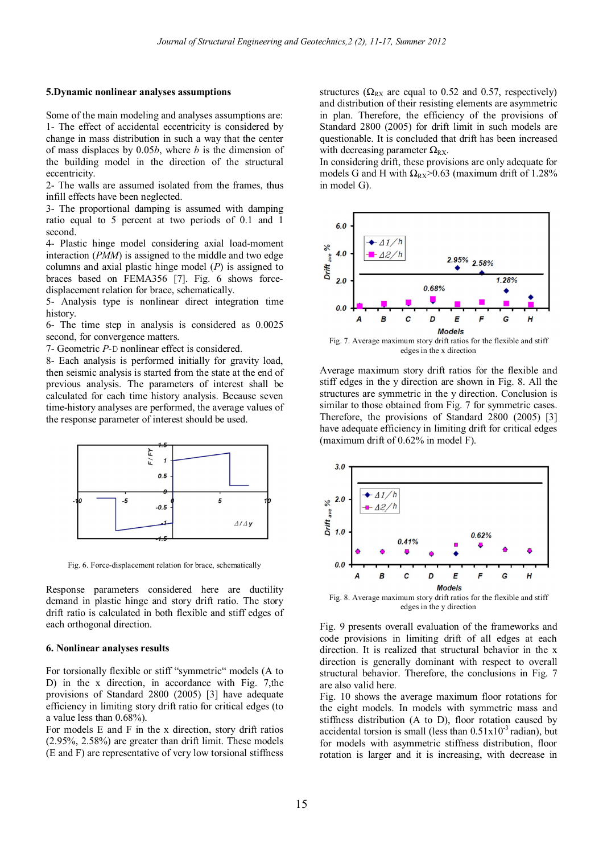#### **5.Dynamic nonlinear analyses assumptions**

Some of the main modeling and analyses assumptions are: 1- The effect of accidental eccentricity is considered by change in mass distribution in such a way that the center of mass displaces by 0.05*b*, where *b* is the dimension of the building model in the direction of the structural eccentricity.

2- The walls are assumed isolated from the frames, thus infill effects have been neglected.

3- The proportional damping is assumed with damping ratio equal to 5 percent at two periods of 0.1 and 1 second.

4- Plastic hinge model considering axial load-moment interaction (*PMM*) is assigned to the middle and two edge columns and axial plastic hinge model (*P*) is assigned to braces based on FEMA356 [7]. Fig. 6 shows forcedisplacement relation for brace, schematically.

5- Analysis type is nonlinear direct integration time history.

6- The time step in analysis is considered as 0.0025 second, for convergence matters.

7- Geometric *P-*D nonlinear effect is considered.

8- Each analysis is performed initially for gravity load, then seismic analysis is started from the state at the end of previous analysis. The parameters of interest shall be calculated for each time history analysis. Because seven time-history analyses are performed, the average values of the response parameter of interest should be used.



Fig. 6. Force-displacement relation for brace, schematically

Response parameters considered here are ductility demand in plastic hinge and story drift ratio. The story drift ratio is calculated in both flexible and stiff edges of each orthogonal direction.

## **6. Nonlinear analyses results**

For torsionally flexible or stiff "symmetric" models (A to D) in the x direction, in accordance with Fig. 7,the provisions of Standard 2800 (2005) [3] have adequate efficiency in limiting story drift ratio for critical edges (to a value less than 0.68%).

For models E and F in the x direction, story drift ratios (2.95%, 2.58%) are greater than drift limit. These models (E and F) are representative of very low torsional stiffness structures ( $\Omega_{RX}$  are equal to 0.52 and 0.57, respectively) and distribution of their resisting elements are asymmetric in plan. Therefore, the efficiency of the provisions of Standard 2800 (2005) for drift limit in such models are questionable. It is concluded that drift has been increased with decreasing parameter  $\Omega_{\rm RX}$ .

In considering drift, these provisions are only adequate for models G and H with  $\Omega_{\text{RY}} > 0.63$  (maximum drift of 1.28%) in model G).



Average maximum story drift ratios for the flexible and stiff edges in the y direction are shown in Fig. 8. All the structures are symmetric in the y direction. Conclusion is similar to those obtained from Fig. 7 for symmetric cases. Therefore, the provisions of Standard 2800 (2005) [3] have adequate efficiency in limiting drift for critical edges (maximum drift of 0.62% in model F).



edges in the y direction

Fig. 9 presents overall evaluation of the frameworks and code provisions in limiting drift of all edges at each direction. It is realized that structural behavior in the x direction is generally dominant with respect to overall structural behavior. Therefore, the conclusions in Fig. 7 are also valid here.

Fig. 10 shows the average maximum floor rotations for the eight models. In models with symmetric mass and stiffness distribution (A to D), floor rotation caused by accidental torsion is small (less than  $0.51 \times 10^{-3}$  radian), but for models with asymmetric stiffness distribution, floor rotation is larger and it is increasing, with decrease in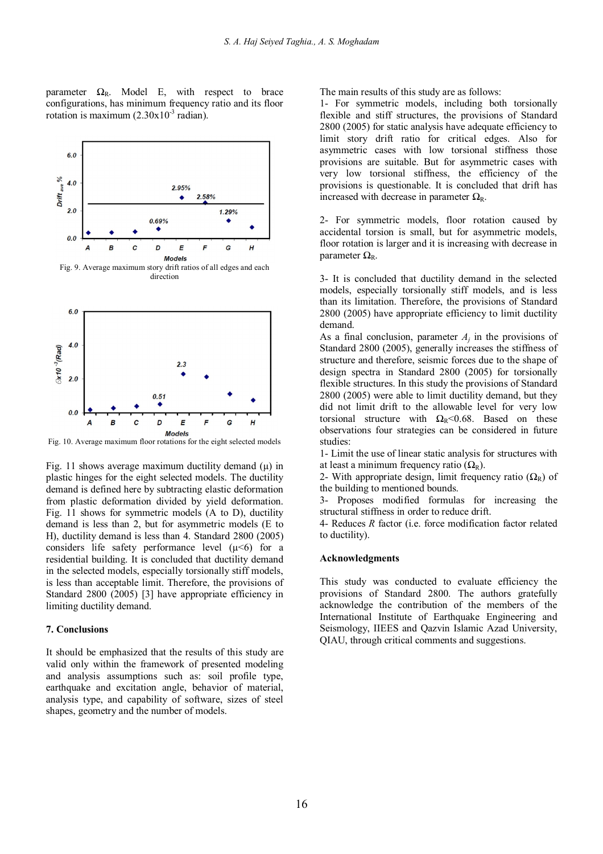parameter  $\Omega_R$ . Model E, with respect to brace configurations, has minimum frequency ratio and its floor rotation is maximum  $(2.30 \times 10^{-3} \text{ radian})$ .



direction



Fig. 10. Average maximum floor rotations for the eight selected models

Fig. 11 shows average maximum ductility demand  $(\mu)$  in plastic hinges for the eight selected models. The ductility demand is defined here by subtracting elastic deformation from plastic deformation divided by yield deformation. Fig. 11 shows for symmetric models (A to D), ductility demand is less than 2, but for asymmetric models (E to H), ductility demand is less than 4. Standard 2800 (2005) considers life safety performance level  $(\mu < 6)$  for a residential building. It is concluded that ductility demand in the selected models, especially torsionally stiff models, is less than acceptable limit. Therefore, the provisions of Standard 2800 (2005) [3] have appropriate efficiency in limiting ductility demand.

# **7. Conclusions**

It should be emphasized that the results of this study are valid only within the framework of presented modeling and analysis assumptions such as: soil profile type, earthquake and excitation angle, behavior of material, analysis type, and capability of software, sizes of steel shapes, geometry and the number of models.

The main results of this study are as follows:

1- For symmetric models, including both torsionally flexible and stiff structures, the provisions of Standard 2800 (2005) for static analysis have adequate efficiency to limit story drift ratio for critical edges. Also for asymmetric cases with low torsional stiffness those provisions are suitable. But for asymmetric cases with very low torsional stiffness, the efficiency of the provisions is questionable. It is concluded that drift has increased with decrease in parameter  $\Omega_{\rm R}$ .

2- For symmetric models, floor rotation caused by accidental torsion is small, but for asymmetric models, floor rotation is larger and it is increasing with decrease in parameter  $\Omega_{\text{R}}$ .

3- It is concluded that ductility demand in the selected models, especially torsionally stiff models, and is less than its limitation. Therefore, the provisions of Standard 2800 (2005) have appropriate efficiency to limit ductility demand.

As a final conclusion, parameter  $A_j$  in the provisions of Standard 2800 (2005), generally increases the stiffness of structure and therefore, seismic forces due to the shape of design spectra in Standard 2800 (2005) for torsionally flexible structures. In this study the provisions of Standard 2800 (2005) were able to limit ductility demand, but they did not limit drift to the allowable level for very low torsional structure with  $\Omega_R < 0.68$ . Based on these observations four strategies can be considered in future studies:

1- Limit the use of linear static analysis for structures with at least a minimum frequency ratio  $(\Omega_R)$ .

2- With appropriate design, limit frequency ratio  $(\Omega_R)$  of the building to mentioned bounds.

3- Proposes modified formulas for increasing the structural stiffness in order to reduce drift.

4- Reduces *R* factor (i.e. force modification factor related to ductility).

## **Acknowledgments**

This study was conducted to evaluate efficiency the provisions of Standard 2800. The authors gratefully acknowledge the contribution of the members of the International Institute of Earthquake Engineering and Seismology, IIEES and Qazvin Islamic Azad University, QIAU, through critical comments and suggestions.